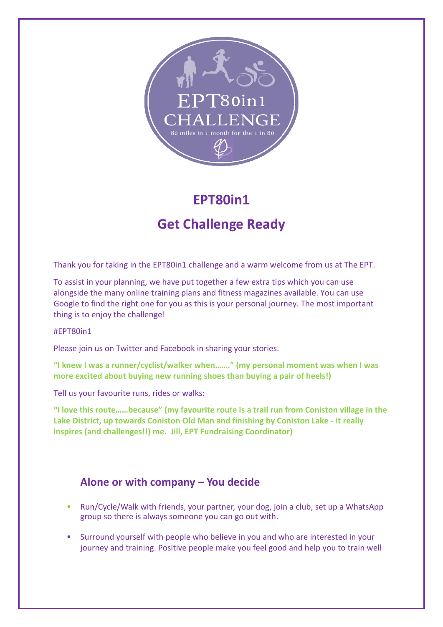

# **EPT80in1**

## **Get Challenge Ready**

Thank you for taking in the EPT80in1 challenge and a warm welcome from us at The EPT.

To assist in your planning, we have put together a few extra tips which you can use alongside the many online training plans and fitness magazines available. You can use Google to find the right one for you as this is your personal journey. The most important thing is to enjoy the challenge!

#### #EPT80in1

Please join us on Twitter and Facebook in sharing your stories.

**"I knew I was a runner/cyclist/walker when……." (my personal moment was when I was more excited about buying new running shoes than buying a pair of heels!)**

Tell us your favourite runs, rides or walks:

**"I love this route……because" (my favourite route is a trail run from Coniston village in the Lake District, up towards Coniston Old Man and finishing by Coniston Lake - it really inspires (and challenges!!) me. Jill, EPT Fundraising Coordinator)**

## **Alone or with company – You decide**

- Run/Cycle/Walk with friends, your partner, your dog, join a club, set up a WhatsApp group so there is always someone you can go out with.
- Surround yourself with people who believe in you and who are interested in your journey and training. Positive people make you feel good and help you to train well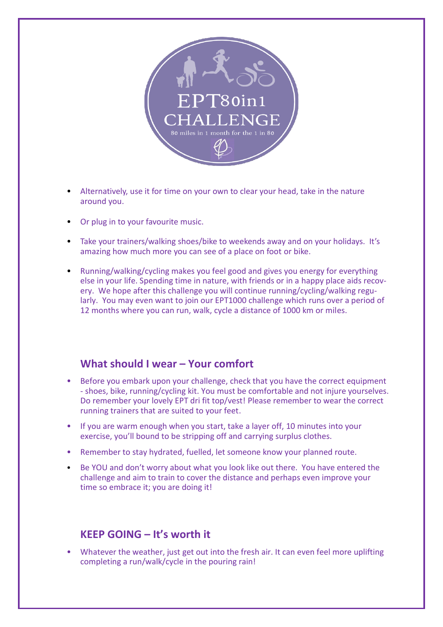

- Alternatively, use it for time on your own to clear your head, take in the nature around you.
- Or plug in to your favourite music.
- Take your trainers/walking shoes/bike to weekends away and on your holidays. It's amazing how much more you can see of a place on foot or bike.
- Running/walking/cycling makes you feel good and gives you energy for everything else in your life. Spending time in nature, with friends or in a happy place aids recovery. We hope after this challenge you will continue running/cycling/walking regularly. You may even want to join our EPT1000 challenge which runs over a period of 12 months where you can run, walk, cycle a distance of 1000 km or miles.

### **What should I wear – Your comfort**

- Before you embark upon your challenge, check that you have the correct equipment - shoes, bike, running/cycling kit. You must be comfortable and not injure yourselves. Do remember your lovely EPT dri fit top/vest! Please remember to wear the correct running trainers that are suited to your feet.
- If you are warm enough when you start, take a layer off, 10 minutes into your exercise, you'll bound to be stripping off and carrying surplus clothes.
- Remember to stay hydrated, fuelled, let someone know your planned route.
- Be YOU and don't worry about what you look like out there. You have entered the challenge and aim to train to cover the distance and perhaps even improve your time so embrace it; you are doing it!

### **KEEP GOING – It's worth it**

• Whatever the weather, just get out into the fresh air. It can even feel more uplifting completing a run/walk/cycle in the pouring rain!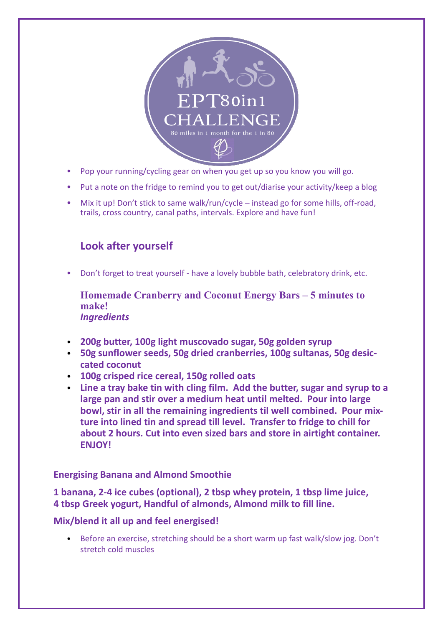

- Pop your running/cycling gear on when you get up so you know you will go.
- Put a note on the fridge to remind you to get out/diarise your activity/keep a blog
- Mix it up! Don't stick to same walk/run/cycle instead go for some hills, off-road, trails, cross country, canal paths, intervals. Explore and have fun!

## **Look after yourself**

• Don't forget to treat yourself - have a lovely bubble bath, celebratory drink, etc.

**Homemade Cranberry and Coconut Energy Bars – 5 minutes to make!** *Ingredients*

- **200g butter, 100g light muscovado sugar, 50g golden syrup**
- **50g sunflower seeds, 50g dried cranberries, 100g sultanas, 50g desiccated coconut**
- **100g crisped rice cereal, 150g rolled oats**
- **Line a tray bake tin with cling film. Add the butter, sugar and syrup to a large pan and stir over a medium heat until melted. Pour into large bowl, stir in all the remaining ingredients til well combined. Pour mixture into lined tin and spread till level. Transfer to fridge to chill for about 2 hours. Cut into even sized bars and store in airtight container. ENJOY!**

#### **Energising Banana and Almond Smoothie**

**1 banana, 2-4 ice cubes (optional), 2 tbsp whey protein, 1 tbsp lime juice, 4 tbsp Greek yogurt, Handful of almonds, Almond milk to fill line.**

#### **Mix/blend it all up and feel energised!**

• Before an exercise, stretching should be a short warm up fast walk/slow jog. Don't stretch cold muscles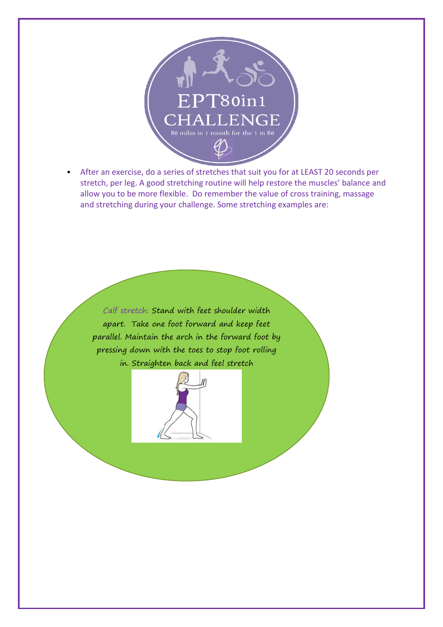

• After an exercise, do a series of stretches that suit you for at LEAST 20 seconds per stretch, per leg. A good stretching routine will help restore the muscles' balance and allow you to be more flexible. Do remember the value of cross training, massage and stretching during your challenge. Some stretching examples are:

Calf stretch: Stand with feet shoulder width apart. Take one foot forward and keep feet parallel. Maintain the arch in the forward foot by pressing down with the toes to stop foot rolling in. Straighten back and feel stretch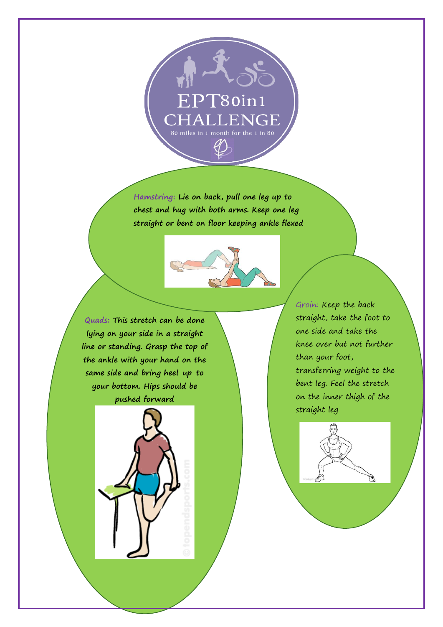

**Hamstring: Lie on back, pull one leg up to chest and hug with both arms. Keep one leg straight or bent on floor keeping ankle flexed**



**feet should be approximately be found and the stretch stretch arch in the formard with the foot by pushed forward**  $\bullet$  on the inner t **Quads: This stretch can be done lying on your side in a straight line or standing. Grasp the top of the ankle with your hand on the same side and bring heel up to** 

**down with the toes and with**



Groin: Keep the back straight, take the foot to one side and take the knee over but not further than your foot, transferring weight to the bent leg. Feel the stretch on the inner thigh of the straight leg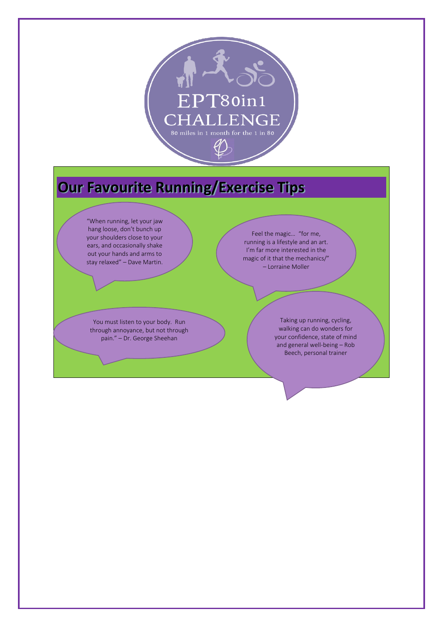

# **Our Favourite Running/Exercise Tips**

"When running, let your jaw hang loose, don't bunch up your shoulders close to your ears, and occasionally shake out your hands and arms to stay relaxed" – Dave Martin.

You must listen to your body. Run through annoyance, but not through pain." – Dr. George Sheehan

Feel the magic… "for me, running is a lifestyle and an art. I'm far more interested in the magic of it that the mechanics/" – Lorraine Moller

> Taking up running, cycling, walking can do wonders for your confidence, state of mind and general well-being – Rob Beech, personal trainer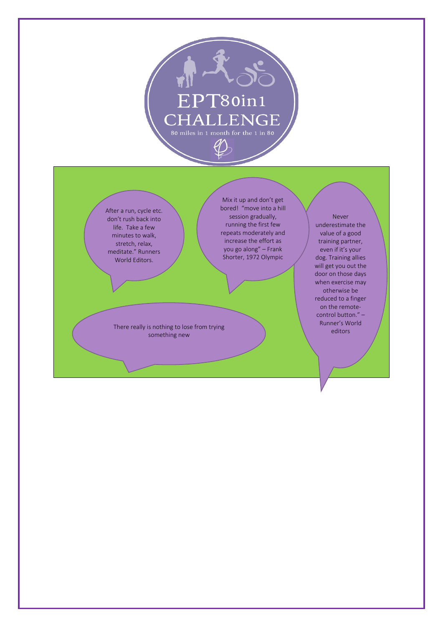

After a run, cycle etc. don't rush back into life. Take a few minutes to walk, stretch, relax, meditate." Runners World Editors.

Mix it up and don't get bored! "move into a hill session gradually, running the first few repeats moderately and increase the effort as you go along" – Frank Shorter, 1972 Olympic

There really is nothing to lose from trying something new

Never underestimate the value of a good training partner, even if it's your dog. Training allies will get you out the door on those days when exercise may otherwise be reduced to a finger on the remotecontrol button." – Runner's World editors